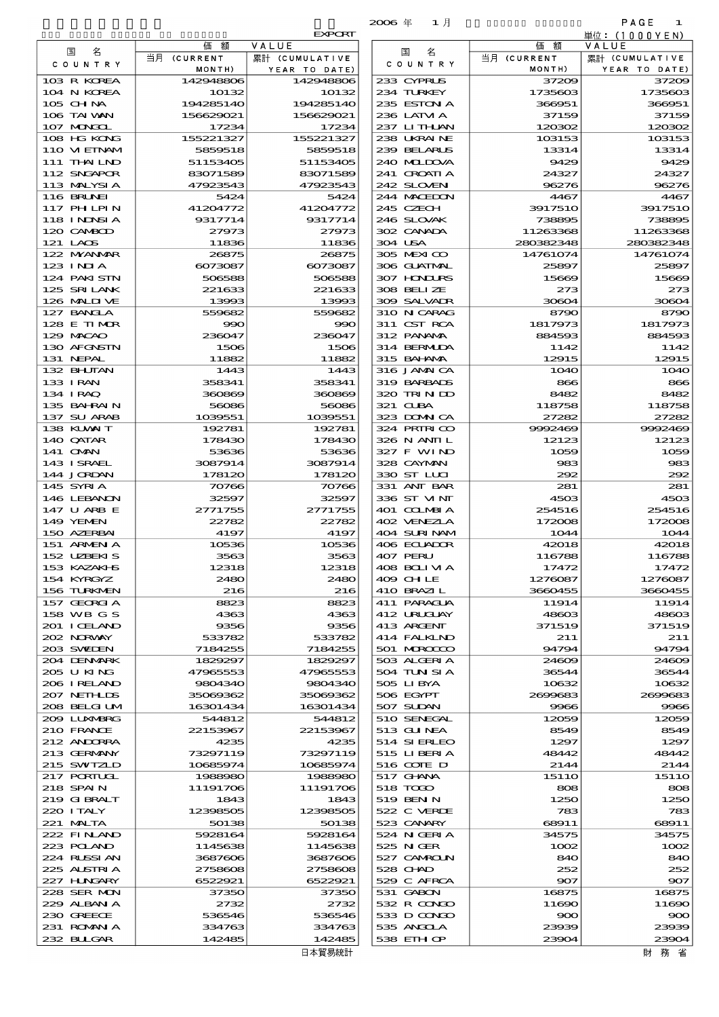|                            |                        |                         | $2006$ $#$<br>1月            |                       | PAGE<br>1               |
|----------------------------|------------------------|-------------------------|-----------------------------|-----------------------|-------------------------|
|                            |                        | <b>EXPORT</b>           |                             |                       | 単位:(1000YEN)            |
| 名<br>国                     | 価<br>額<br>当月 (CURRENT  | VALUE<br>累計 (CUMULATIVE | 名<br>国                      | 価額<br>当月 (CURRENT     | VALUE<br>累計 (CUMULATIVE |
| C O U N T R Y              | MONTH)                 | YEAR TO DATE)           | C O U N T R Y               | MONTH)                | YEAR TO DATE)           |
| 103 R KOREA                | 142948806              | 142948806               | 233 CYPRUS                  | 37209                 | 37209                   |
| 104 N KOREA                | 10132                  | 10132                   | 234 TURKEY                  | 1735603               | 1735603                 |
| 105 CHNA<br>106 TAI WAN    | 194285140<br>156629021 | 194285140<br>156629021  | 235 ESTON A<br>236 LATVI A  | 366951<br>37159       | 366951<br>37159         |
| 107 MONGOL                 | 17234                  | 17234                   | 237 LITHLAN                 | 120302                | 120302                  |
| 108 HG KONG                | 155221327              | 155221327               | 238 UKRAINE                 | 103153                | 103153                  |
| 110 VIETNAM                | 5859518                | 5859518                 | 239 BELARUS                 | 13314                 | 13314                   |
| 111 THAILND<br>112 SNGAPOR | 51153405<br>83071589   | 51153405                | 240 MIDOVA                  | 9429                  | 9429                    |
| 113 MALYSIA                | 47923543               | 83071589<br>47923543    | 241 GROATIA<br>242 SLOVEN   | 24327<br>96276        | 24327<br>96276          |
| 116 BRUNEI                 | 5424                   | 5424                    | 244 MACEDON                 | 4467                  | 4467                    |
| 117 PHLPIN                 | 41204772               | 41204772                | 245 CZECH                   | 3917510               | 3917510                 |
| 118 I NDNSI A              | 9317714                | 9317714                 | 246 SLOVAK                  | 738895                | 738895                  |
| 120 CAMBOD<br>121 LAOS     | 27973<br>11836         | 27973<br>11836          | 302 CANADA<br>304 USA       | 11263368<br>280382348 | 11263368<br>280382348   |
| 122 MYANAR                 | 26875                  | 26875                   | 305 MEXICO                  | 14761074              | 14761074                |
| 123 INJA                   | 6073087                | 6073087                 | 306 GUATMAL                 | 25897                 | 25897                   |
| 124 PAKI STN               | 506588                 | 506588                  | 307 HNURS                   | 15669                 | 15669                   |
| 125 SRILANK<br>126 MALINE  | 221633                 | 221633                  | 308 BELIZE<br>309 SALVAIR   | 273<br>30604          | 273<br>30604            |
| 127 BANCLA                 | 13993<br>559682        | 13993<br>559682         | 310 N CARAG                 | 8790                  | 8790                    |
| 128 E TIMOR                | 990                    | 990                     | 311 CST RCA                 | 1817973               | 1817973                 |
| 129 MACAO                  | 236047                 | 236047                  | 312 PANAMA                  | 884593                | 884593                  |
| 130 AFGNSTN                | 1506                   | 1506                    | 314 BERMIDA                 | 1142                  | 1142                    |
| 131 NEPAL<br>132 BHUTAN    | 11882<br>1443          | 11882<br>1443           | 315 BAHAMA<br>316 JAMAICA   | 12915<br><b>1O4O</b>  | 12915<br><b>1O4O</b>    |
| 133 IRAN                   | 358341                 | 358341                  | 319 BARBADS                 | 866                   | 866                     |
| 134 I RAQ                  | 360869                 | 360869                  | 320 TRIN ID                 | 8482                  | 8482                    |
| 135 BAHRAIN                | 56086                  | 56086                   | 321 CUBA                    | 118758                | 118758                  |
| 137 SU ARAB<br>138 KUWAIT  | 1039551<br>192781      | 1039551<br>192781       | 323 DOMNICA<br>324 PRIRICO  | 27282<br>9992469      | 27282<br>9992469        |
| 140 QATAR                  | 178430                 | 178430                  | 326 N ANII L                | 12123                 | 12123                   |
| 141 OMN                    | 53636                  | 53636                   | 327 F WIND                  | 1059                  | 1059                    |
| 143 ISRAEL                 | 3087914                | 3087914                 | 328 CAYMAN                  | 983                   | 983                     |
| 144 JORDAN                 | 178120                 | 178120                  | 330 ST LUI                  | 292                   | 292                     |
| 145 SYRIA<br>146 LEBANON   | 70766<br>32597         | 70766<br>32597          | 331 ANT BAR<br>336 ST VINT  | 281<br>4503           | 281<br>4503             |
| 147 U ARB E                | 2771755                | 2771755                 | 401 COLMBIA                 | 254516                | 254516                  |
| 149 YEMEN                  | 22782                  | 22782                   | 402 VENEZIA                 | 172008                | 172008                  |
| 150 AZERBAI                | 4197                   | 4197                    | 404 SURINAM                 | 1044                  | 1044                    |
| 151 ARMENIA<br>152 UZBEKIS | 10536<br>3563          | 10536<br>3563           | 406 ECUADOR<br>407 PERU     | 42018<br>116788       | 42018<br>116788         |
| 153 KAZAKHS                | 12318                  | 12318                   | 408 BOLI VI A               | 17472                 | 17472                   |
| 154 KYRGYZ                 | 2480                   | 2480                    | 409 CHLE                    | 1276087               | 1276087                 |
| 156 TURKMEN                | 216                    | 216                     | 410 BRAZIL                  | 3660455               | 3660455                 |
| 157 GEORGIA<br>158 WB G S  | 8823<br>4363           | 8823<br>4363            | 411 PARAGUA<br>412 URUGIAY  | 11914<br>48603        | 11914<br>48603          |
| 201 ICELAND                | 9356                   | 9356                    | 413 ARGENT                  | 371519                | 371519                  |
| 202 NORWAY                 | 533782                 | 533782                  | 414 FALKIND                 | 211                   | 211                     |
| 203 SWIDEN                 | 7184255                | 7184255                 | 501 MROCCO                  | 94794                 | 94794                   |
| 204 DENMARK<br>205 U KING  | 1829297<br>47965553    | 1829297<br>47965553     | 503 ALGERIA<br>504 TUN SI A | 24609<br>36544        | 24609<br>36544          |
| 206 I RELAND               | 9804340                | 9804340                 | 505 LIBYA                   | 10632                 | 10632                   |
| 207 NETHLIS                | 35069362               | 35069362                | 506 EGYPT                   | 2699683               | 2600683                 |
| 208 BELGI UM               | 16301434               | 16301434                | 507 SUDAN                   | 9966                  | 9966                    |
| 2009 LUNABRG               | 544812                 | 544812                  | 510 SENEGAL                 | 12059                 | 12059                   |
| 210 FRANCE<br>212 ANDORRA  | 22153967<br>4235       | 22153967<br>4235        | 513 GUNEA<br>514 SIERLEO    | 8549<br>1297          | 8549<br>1297            |
| 213 GERMANY                | 73297119               | 73297119                | 515 LIBERIA                 | 48442                 | 48442                   |
| 215 SWIZLD                 | 10685974               | 10685974                | 516 COTE D                  | 2144                  | 2144                    |
| 217 PORTUGL                | 1988980                | 1988980                 | 517 GHNA                    | 1511O                 | 151 1O                  |
| 218 SPAI N<br>219 GIBRALT  | 11191706<br>1843       | 11191706<br>1843        | 518 TODO<br>519 BEN N       | 808<br>1250           | 808<br>1250             |
| 220 I TALY                 | 12398505               | 12398505                | 522 C VERDE                 | 783                   | 783                     |
| 221 MALTA                  | 50138                  | 50138                   | 523 CANARY                  | 68911                 | 68911                   |
| 222 FINAND                 | 5928164                | 5928164                 | 524 N GERIA                 | 34575                 | 34575                   |
| 223 POLAND<br>224 RUSSI AN | 1145638<br>3687606     | 1145638<br>3687606      | 525 N GER<br>527 CAMROLN    | 1002<br>840           | 1002<br>840             |
| 225 ALSTRIA                | 2758608                | 2758608                 | 528 CHAD                    | 252                   | 252                     |
| 227 H.NGARY                | 6522921                | 6522921                 | 529 C AFRCA                 | 907                   | 907                     |
| 228 SER MON                | 37350                  | 37350                   | 531 GABON                   | 16875                 | 16875                   |
| 229 ALBAN A<br>230 GREECE  | 2732                   | 2732                    | 532 R CONDO<br>533 D CONDO  | 11690                 | 11690                   |
| 231 ROMANIA                | 536546<br>334763       | 536546<br>334763        | 535 ANGOLA                  | 900<br>23939          | 900<br>23939            |
| 232 BUGAR                  | 142485                 | 142485                  | 538 EIH OP                  | 23904                 | 23904                   |

| 国<br>名                      | 仙<br>額               | VALUE                    |
|-----------------------------|----------------------|--------------------------|
| C O U N T R Y               | 当月 (CURRENT          | 累計 (CUMULATIVE           |
| 103 R KOREA                 | MONTH)               | YEAR TO DATE<br>14294880 |
| 104 N KOREA                 | 142948806<br>10132   | 1013                     |
| 105 CHNA                    | 194285140            | 19428514                 |
| 106 TAI VAN                 | 156629021            | 15662902                 |
| 107 MNGCL                   | 17234                | 1723                     |
| 108 HG KONG                 | 155221327            | 15522132                 |
| 110 VIEINAM                 | 5859518              | 585951                   |
| 111 THAILND                 | 51153405             | 5115340                  |
| 112 SNGAPOR<br>113 MALYSIA  | 83071589<br>47923543 | 8307158<br>4792354       |
| <b>116 BRUNEI</b>           | 5424                 | 542                      |
| <b>117 PHLPIN</b>           | 41204772             | 4120477                  |
| 118 I NDNSI A               | 9317714              | 931771                   |
| 120 CAMBOD                  | 27973                | 2797                     |
| 121 LAOS                    | 11836                | 1183                     |
| 122 MYANMAR                 | 26875                | 2687                     |
| 123 INIA                    | 6073087              | 607308                   |
| 124 PAKI STN<br>125 SRILANK | 506588               | 50658                    |
| 126 MALINE                  | 221633<br>13993      | 22163<br>1399            |
| 127 BANCLA                  | 559682               | 55968                    |
| 128 E TIMOR                 | 990                  | $\infty$                 |
| 129 MACAO                   | 236047               | 23604                    |
| 130 AFGNSTN                 | 1506                 | 15C                      |
| 131 NEPAL                   | 11882                | 1188                     |
| 132 BHUTAN                  | 1443                 | 144                      |
| 133 I RAN                   | 358341               | 35834                    |
| 134 IRAQ                    | 360869               | 36086                    |
| 135 BAHRAIN<br>137 SU ARAB  | 56086<br>1039551     | 5608<br>103955           |
| 138 KLWAIT                  | 192781               | 19278                    |
| 140 QATAR                   | 178430               | 17843                    |
| 141 OMN                     | 53636                | 5363                     |
| 143 ISRAEL                  | 3087914              | 308791                   |
| 144 JORDAN                  | 178120               | 17812                    |
| 145 SYRIA                   | 70766                | <b>7076</b>              |
| 146 LEBANON<br>147 U ARB E  | 32597<br>2771755     | 3259<br>277175           |
| 149 YEMEN                   | 22782                | 2278                     |
| 150 AZERBAI                 | 4197                 | 419                      |
| 151 ARMENIA                 | 10536                | 1053                     |
| 152 UBEKIS                  | 3563                 | 356                      |
| 153 KAZAKI B                | 12318                | 1231                     |
| 154 KYRGYZ                  | 2480                 | 248                      |
| 156 TURKMEN                 | 216                  | 21                       |
| 157 GEORGIA<br>158 WB G S   | 8823<br>4363         | 882<br>436               |
| 201 I CELAND                | 9356                 | 935                      |
| 202 NORWAY                  | 533782               | 53378                    |
| 203 SWIDEN                  | 7184255              | 718425                   |
| 204 DENMARK                 | 1829297              | 182929                   |
| 205 U KING                  | 47965553             | 4796555                  |
| 206 I RELAND                | 9804340              | 980434                   |
| 207 NETHLIS                 | 35089362             | 3506936                  |
| 208 BELGI UM<br>209 LUNABRG | 16301434<br>544812   | 1630143<br>54481         |
| 210 FRANCE                  | 22153967             | 2215396                  |
| 212 ANDORRA                 | 4235                 | 423                      |
| 213 GERMANY                 | 73297119             | 7329711                  |
| 215 SWIZLD                  | 10685974             | 1068597                  |
| 217 PORTUGL                 | 1988980              | 198898                   |
| 218 SPAIN                   | 11191706             | 1119170                  |
| 219 GIBRALT                 | 1843                 | 184                      |
| 220 I TALY                  | 12398505             | 1239850                  |
| 221 MALTA<br>222 FINAND     | 50138<br>5928164     | 5013<br>592816           |
| 223 POLAND                  | 1145638              | 114563                   |
| 224 RLSSIAN                 | 3687606              | 368760                   |
| 225 ALSIRIA                 | 2758608              | 27586C                   |
| 227 HNGARY                  | 6522921              | 652292                   |
| 228 SER MON                 | 37350                | 3735                     |
| 229 ALBAN A                 | 2732                 | 273                      |
| 230 GREECE<br>231 ROMANIA   | 536546               | 53654<br>33476           |
| 232 BUGAR                   | 334763<br>142485     | 14248                    |
|                             |                      | 日本貿易統計                   |
|                             |                      |                          |

財務省